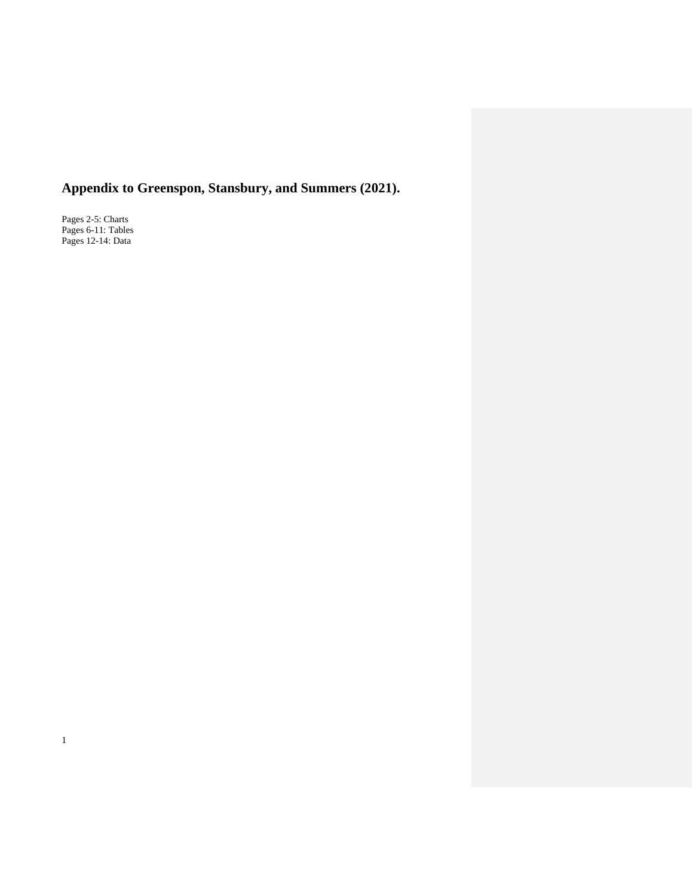# **Appendix to Greenspon, Stansbury, and Summers (2021).**

Pages 2-5: Charts Pages 6-11: Tables Pages 12-14: Data

1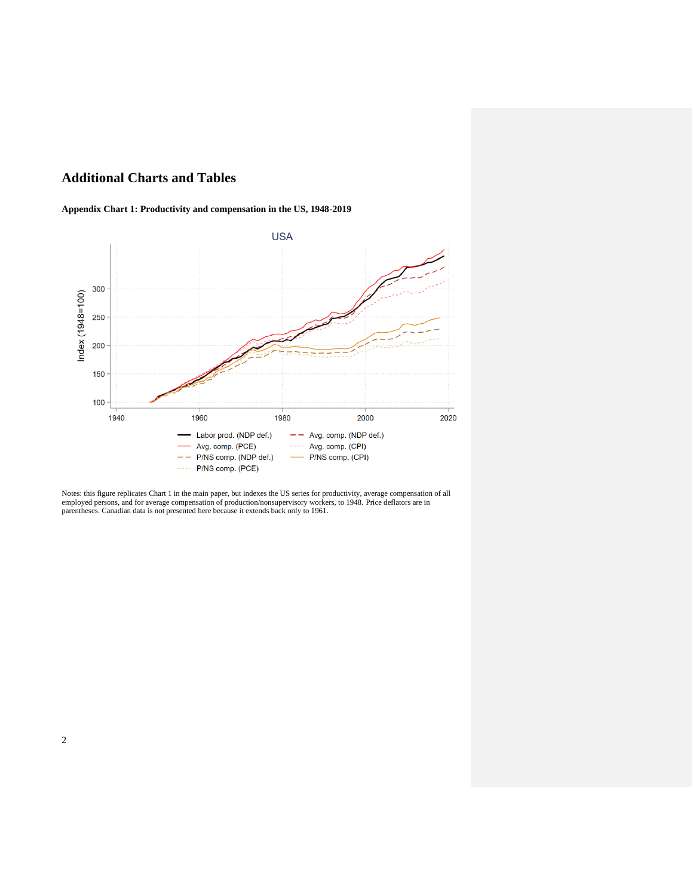## **Additional Charts and Tables**

### **Appendix Chart 1: Productivity and compensation in the US, 1948-2019**



Notes: this figure replicates Chart 1 in the main paper, but indexes the US series for productivity, average compensation of all employed persons, and for average compensation of production/nonsupervisory workers, to 1948. Price deflators are in parentheses. Canadian data is not presented here because it extends back only to 1961.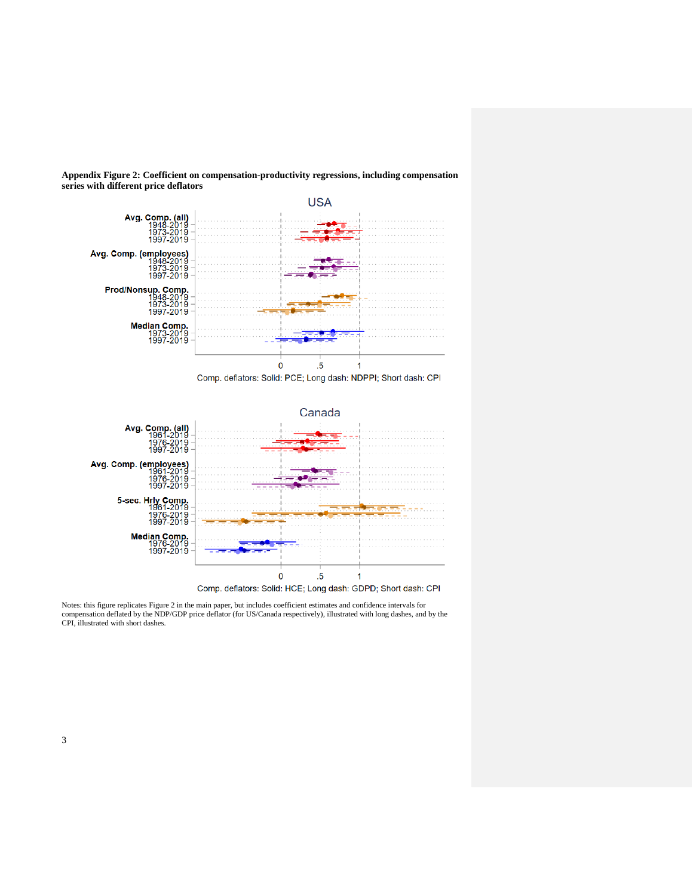

**Appendix Figure 2: Coefficient on compensation-productivity regressions, including compensation series with different price deflators**

Comp. deflators: Solid: PCE; Long dash: NDPPI; Short dash: CPI



Notes: this figure replicates Figure 2 in the main paper, but includes coefficient estimates and confidence intervals for<br>compensation deflated by the NDP/GDP price deflator (for US/Canada respectively), illustrated with l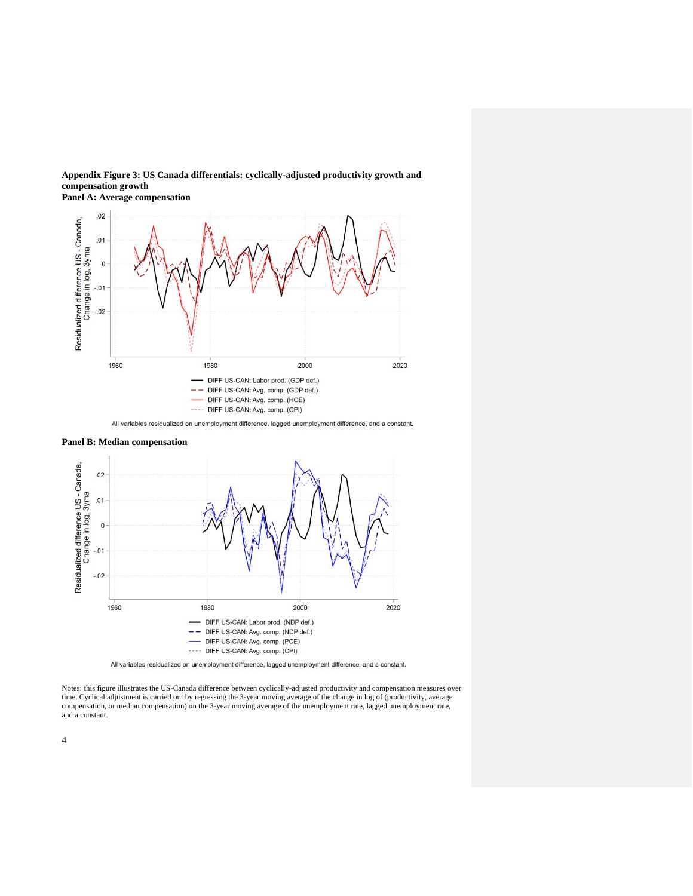

**Panel A: Average compensation**







All variables residualized on unemployment difference, lagged unemployment difference, and a constant.

Notes: this figure illustrates the US-Canada difference between cyclically-adjusted productivity and compensation measures over time. Cyclical adjustment is carried out by regressing the 3-year moving average of the change in log of (productivity, average compensation, or median compensation) on the 3-year moving average of the unemployment rate, lagged unemployment rate, and a constant.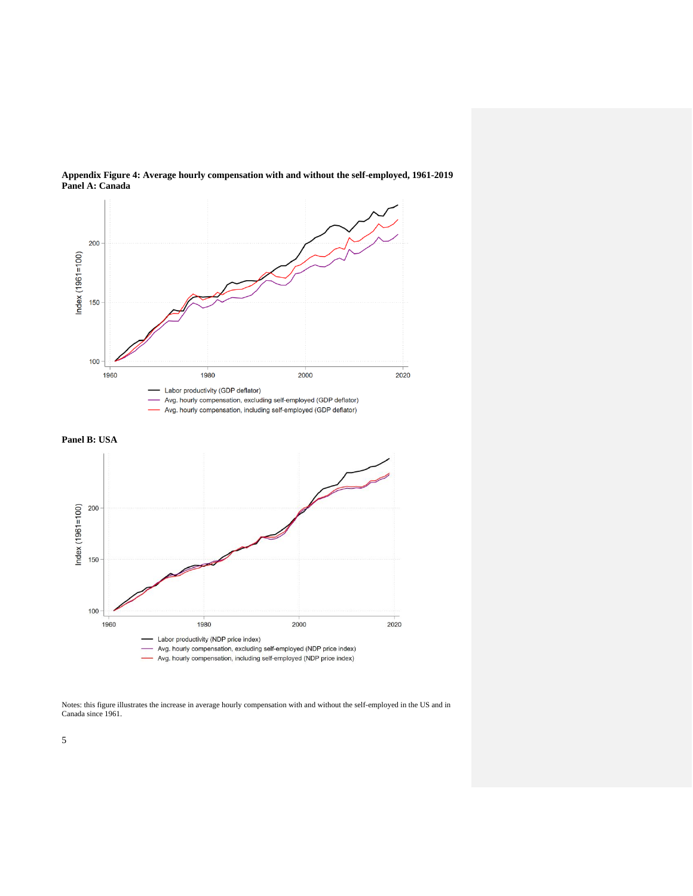

**Appendix Figure 4: Average hourly compensation with and without the self-employed, 1961-2019 Panel A: Canada**





Notes: this figure illustrates the increase in average hourly compensation with and without the self-employed in the US and in Canada since 1961.

5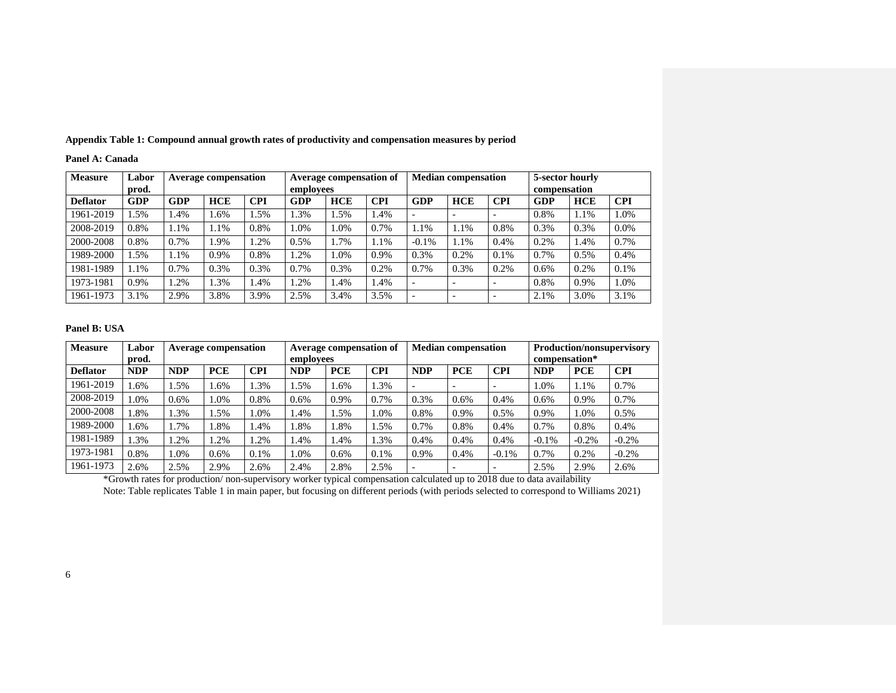| <b>Measure</b>  | Labor      | <b>Average compensation</b> |            |            | Average compensation of |            |            | <b>Median compensation</b> |                          |            | 5-sector hourly |            |            |
|-----------------|------------|-----------------------------|------------|------------|-------------------------|------------|------------|----------------------------|--------------------------|------------|-----------------|------------|------------|
|                 | prod.      |                             |            |            | employees               |            |            |                            |                          |            | compensation    |            |            |
| <b>Deflator</b> | <b>GDP</b> | GDP                         | <b>HCE</b> | <b>CPI</b> | <b>GDP</b>              | <b>HCE</b> | <b>CPI</b> | GDP                        | <b>HCE</b>               | <b>CPI</b> | <b>GDP</b>      | <b>HCE</b> | <b>CPI</b> |
| 1961-2019       | 1.5%       | 1.4%                        | 1.6%       | 1.5%       | 1.3%                    | 1.5%       | l.4%       | $\overline{\phantom{a}}$   | $\overline{\phantom{0}}$ |            | 0.8%            | 1.1%       | 1.0%       |
| 2008-2019       | 0.8%       | 1.1%                        | 1.1%       | 0.8%       | 1.0%                    | 1.0%       | 0.7%       | 1.1%                       | 1.1%                     | 0.8%       | 0.3%            | 0.3%       | 0.0%       |
| 2000-2008       | 0.8%       | 0.7%                        | 1.9%       | 1.2%       | 0.5%                    | 1.7%       | 1.1%       | $-0.1%$                    | 1.1%                     | 0.4%       | 0.2%            | 1.4%       | 0.7%       |
| 1989-2000       | 1.5%       | 1.1%                        | 0.9%       | 0.8%       | 1.2%                    | 1.0%       | 0.9%       | 0.3%                       | 0.2%                     | 0.1%       | 0.7%            | 0.5%       | 0.4%       |
| 1981-1989       | 1.1%       | 0.7%                        | 0.3%       | 0.3%       | 0.7%                    | 0.3%       | 0.2%       | 0.7%                       | 0.3%                     | 0.2%       | 0.6%            | 0.2%       | 0.1%       |
| 1973-1981       | 0.9%       | .2%                         | 1.3%       | 1.4%       | 1.2%                    | 1.4%       | 1.4%       |                            |                          |            | 0.8%            | 0.9%       | 1.0%       |
| 1961-1973       | 3.1%       | 2.9%                        | 3.8%       | 3.9%       | 2.5%                    | 3.4%       | 3.5%       | $\overline{\phantom{a}}$   |                          |            | 2.1%            | 3.0%       | 3.1%       |

**Appendix Table 1: Compound annual growth rates of productivity and compensation measures by period**

#### **Panel B: USA**

**Panel A: Canada**

| <b>Measure</b>  | Labor<br>prod. | <b>Average compensation</b> |            |            | <b>Average compensation of</b><br>employees |            |            | <b>Median compensation</b> |            |            | <b>Production/nonsupervisory</b><br>compensation* |            |            |
|-----------------|----------------|-----------------------------|------------|------------|---------------------------------------------|------------|------------|----------------------------|------------|------------|---------------------------------------------------|------------|------------|
| <b>Deflator</b> | <b>NDP</b>     | <b>NDP</b>                  | <b>PCE</b> | <b>CPI</b> | <b>NDP</b>                                  | <b>PCE</b> | <b>CPI</b> | <b>NDP</b>                 | <b>PCE</b> | <b>CPI</b> | <b>NDP</b>                                        | <b>PCE</b> | <b>CPI</b> |
| 1961-2019       | .6%            | .5%                         | .6%        | l.3%       | .5%                                         | 1.6%       | 1.3%       |                            |            |            | 1.0%                                              | 1.1%       | 0.7%       |
| 2008-2019       | .0%            | 0.6%                        | 1.0%       | 0.8%       | 0.6%                                        | 0.9%       | 0.7%       | 0.3%                       | 0.6%       | 0.4%       | 0.6%                                              | 0.9%       | 0.7%       |
| 2000-2008       | 1.8%           | .3%                         | .5%        | 1.0%       | .4%                                         | 1.5%       | 1.0%       | 0.8%                       | 0.9%       | 0.5%       | 0.9%                                              | 1.0%       | 0.5%       |
| 1989-2000       | $.6\%$         | 1.7%                        | 1.8%       | 1.4%       | .8%                                         | 1.8%       | .5%        | 0.7%                       | 0.8%       | 0.4%       | 0.7%                                              | 0.8%       | 0.4%       |
| 1981-1989       | 1.3%           | .2%                         | .2%        | .2%        | .4%                                         | 1.4%       | 1.3%       | 0.4%                       | 0.4%       | 0.4%       | $-0.1%$                                           | $-0.2%$    | $-0.2\%$   |
| 1973-1981       | 0.8%           | 1.0%                        | 0.6%       | 0.1%       | $0\%$                                       | 0.6%       | 0.1%       | 0.9%                       | 0.4%       | $-0.1%$    | 0.7%                                              | 0.2%       | $-0.2\%$   |
| 1961-1973       | 2.6%           | 2.5%                        | 2.9%       | 2.6%       | 2.4%                                        | 2.8%       | 2.5%       |                            |            |            | 2.5%                                              | 2.9%       | 2.6%       |

\*Growth rates for production/ non-supervisory worker typical compensation calculated up to 2018 due to data availability

Note: Table replicates Table 1 in main paper, but focusing on different periods (with periods selected to correspond to Williams 2021)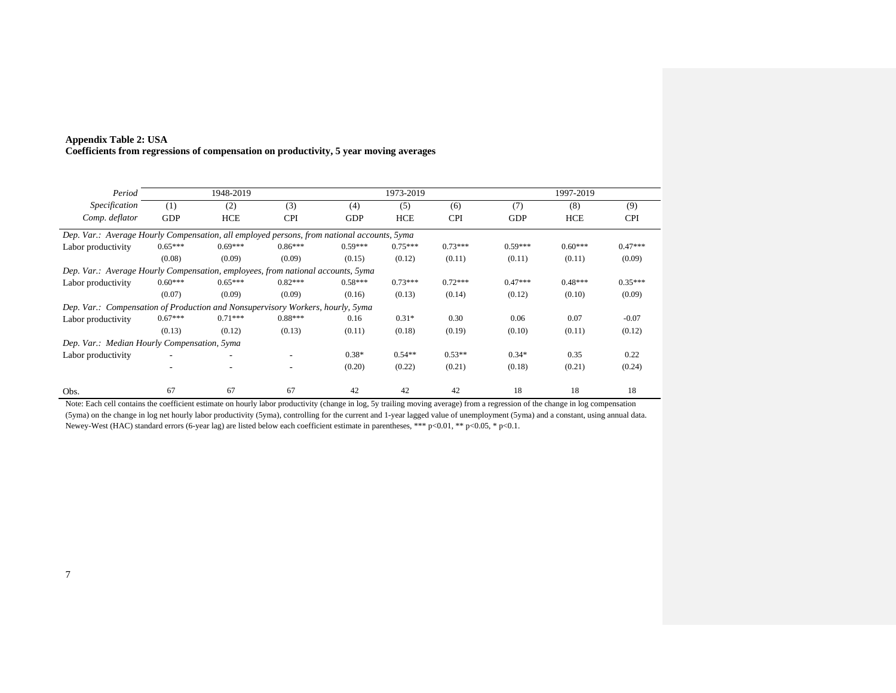| Period                                                                                     |            | 1948-2019  |            |            | 1973-2019 |            |            | 1997-2019  |            |
|--------------------------------------------------------------------------------------------|------------|------------|------------|------------|-----------|------------|------------|------------|------------|
| Specification                                                                              | (1)        | (2)        | (3)        | (4)        | (5)       | (6)        | (7)        | (8)        | (9)        |
| Comp. deflator                                                                             | <b>GDP</b> | <b>HCE</b> | <b>CPI</b> | <b>GDP</b> | HCE       | <b>CPI</b> | <b>GDP</b> | <b>HCE</b> | <b>CPI</b> |
| Dep. Var.: Average Hourly Compensation, all employed persons, from national accounts, 5yma |            |            |            |            |           |            |            |            |            |
| Labor productivity                                                                         | $0.65***$  | $0.69***$  | $0.86***$  | $0.59***$  | $0.75***$ | $0.73***$  | $0.59***$  | $0.60***$  | $0.47***$  |
|                                                                                            | (0.08)     | (0.09)     | (0.09)     | (0.15)     | (0.12)    | (0.11)     | (0.11)     | (0.11)     | (0.09)     |
| Dep. Var.: Average Hourly Compensation, employees, from national accounts, 5yma            |            |            |            |            |           |            |            |            |            |
| Labor productivity                                                                         | $0.60***$  | $0.65***$  | $0.82***$  | $0.58***$  | $0.73***$ | $0.72***$  | $0.47***$  | $0.48***$  | $0.35***$  |
|                                                                                            | (0.07)     | (0.09)     | (0.09)     | (0.16)     | (0.13)    | (0.14)     | (0.12)     | (0.10)     | (0.09)     |
| Dep. Var.: Compensation of Production and Nonsupervisory Workers, hourly, 5yma             |            |            |            |            |           |            |            |            |            |
| Labor productivity                                                                         | $0.67***$  | $0.71***$  | $0.88***$  | 0.16       | $0.31*$   | 0.30       | 0.06       | 0.07       | $-0.07$    |
|                                                                                            | (0.13)     | (0.12)     | (0.13)     | (0.11)     | (0.18)    | (0.19)     | (0.10)     | (0.11)     | (0.12)     |
| Dep. Var.: Median Hourly Compensation, 5yma                                                |            |            |            |            |           |            |            |            |            |
| Labor productivity                                                                         |            |            |            | $0.38*$    | $0.54**$  | $0.53**$   | $0.34*$    | 0.35       | 0.22       |
|                                                                                            |            |            | ۰.         | (0.20)     | (0.22)    | (0.21)     | (0.18)     | (0.21)     | (0.24)     |
| Obs.                                                                                       | 67         | 67         | 67         | 42         | 42        | 42         | 18         | 18         | 18         |

## **Appendix Table 2: USA Coefficients from regressions of compensation on productivity, 5 year moving averages**

Note: Each cell contains the coefficient estimate on hourly labor productivity (change in log, 5y trailing moving average) from a regression of the change in log compensation (5yma) on the change in log net hourly labor productivity (5yma), controlling for the current and 1-year lagged value of unemployment (5yma) and a constant, using annual data. Newey-West (HAC) standard errors (6-year lag) are listed below each coefficient estimate in parentheses, \*\*\* p<0.01, \*\* p<0.05, \* p<0.1.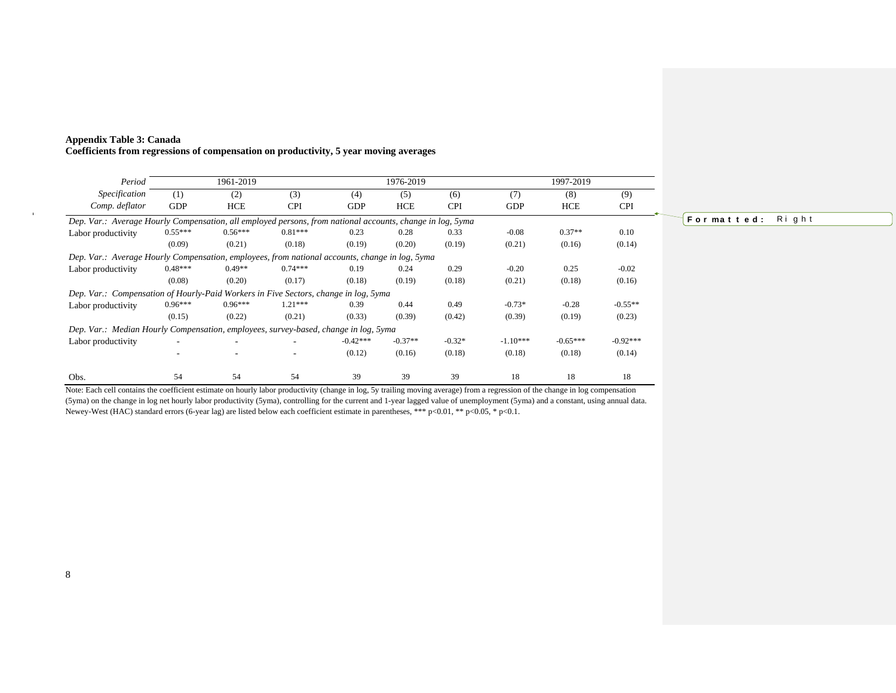| Period                                                                                                    |            | 1961-2019                |            |            | 1976-2019  |            |            | 1997-2019  |            |
|-----------------------------------------------------------------------------------------------------------|------------|--------------------------|------------|------------|------------|------------|------------|------------|------------|
| Specification                                                                                             | (1)        | (2)                      | (3)        | (4)        | (5)        | (6)        | (7)        | (8)        | (9)        |
| Comp. deflator                                                                                            | <b>GDP</b> | <b>HCE</b>               | <b>CPI</b> | <b>GDP</b> | <b>HCE</b> | <b>CPI</b> | <b>GDP</b> | <b>HCE</b> | <b>CPI</b> |
| Dep. Var.: Average Hourly Compensation, all employed persons, from national accounts, change in log, 5yma |            |                          |            |            |            |            |            |            |            |
| Labor productivity                                                                                        | $0.55***$  | $0.56***$                | $0.81***$  | 0.23       | 0.28       | 0.33       | $-0.08$    | $0.37**$   | 0.10       |
|                                                                                                           | (0.09)     | (0.21)                   | (0.18)     | (0.19)     | (0.20)     | (0.19)     | (0.21)     | (0.16)     | (0.14)     |
| Dep. Var.: Average Hourly Compensation, employees, from national accounts, change in log, 5yma            |            |                          |            |            |            |            |            |            |            |
| Labor productivity                                                                                        | $0.48***$  | $0.49**$                 | $0.74***$  | 0.19       | 0.24       | 0.29       | $-0.20$    | 0.25       | $-0.02$    |
|                                                                                                           | (0.08)     | (0.20)                   | (0.17)     | (0.18)     | (0.19)     | (0.18)     | (0.21)     | (0.18)     | (0.16)     |
| Dep. Var.: Compensation of Hourly-Paid Workers in Five Sectors, change in log, 5yma                       |            |                          |            |            |            |            |            |            |            |
| Labor productivity                                                                                        | $0.96***$  | $0.96***$                | $1.21***$  | 0.39       | 0.44       | 0.49       | $-0.73*$   | $-0.28$    | $-0.55**$  |
|                                                                                                           | (0.15)     | (0.22)                   | (0.21)     | (0.33)     | (0.39)     | (0.42)     | (0.39)     | (0.19)     | (0.23)     |
| Dep. Var.: Median Hourly Compensation, employees, survey-based, change in log, 5yma                       |            |                          |            |            |            |            |            |            |            |
| Labor productivity                                                                                        | ٠          | $\overline{\phantom{a}}$ |            | $-0.42***$ | $-0.37**$  | $-0.32*$   | $-1.10***$ | $-0.65***$ | $-0.92***$ |
|                                                                                                           |            |                          |            | (0.12)     | (0.16)     | (0.18)     | (0.18)     | (0.18)     | (0.14)     |
| Obs.                                                                                                      | 54         | 54                       | 54         | 39         | 39         | 39         | 18         | 18         | 18         |

For matted: Right

## **Appendix Table 3: Canada Coefficients from regressions of compensation on productivity, 5 year moving averages**

Note: Each cell contains the coefficient estimate on hourly labor productivity (change in log, 5y trailing moving average) from a regression of the change in log compensation (5yma) on the change in log net hourly labor productivity (5yma), controlling for the current and 1-year lagged value of unemployment (5yma) and a constant, using annual data. Newey-West (HAC) standard errors (6-year lag) are listed below each coefficient estimate in parentheses, \*\*\* p<0.01, \*\* p<0.05, \* p<0.1.

 $\mathbf{u}$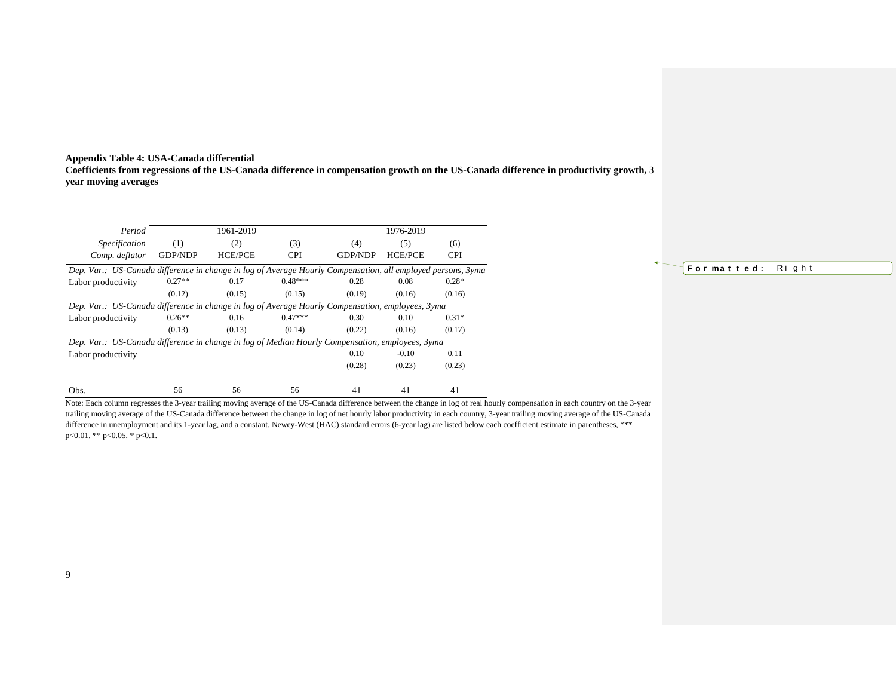#### **Appendix Table 4: USA-Canada differential Coefficients from regressions of the US-Canada difference in compensation growth on the US-Canada difference in productivity growth, 3 year moving averages**

| Period                                                                                                      |                                                                                                 | 1961-2019      |            |                | 1976-2019      |            |  |
|-------------------------------------------------------------------------------------------------------------|-------------------------------------------------------------------------------------------------|----------------|------------|----------------|----------------|------------|--|
| Specification                                                                                               | (1)                                                                                             | (2)            | (3)        | (4)            | (5)            | (6)        |  |
| Comp. deflator                                                                                              | <b>GDP/NDP</b>                                                                                  | <b>HCE/PCE</b> | <b>CPI</b> | <b>GDP/NDP</b> | <b>HCE/PCE</b> | <b>CPI</b> |  |
| Dep. Var.: US-Canada difference in change in log of Average Hourly Compensation, all employed persons, 3yma |                                                                                                 |                |            |                |                |            |  |
| Labor productivity                                                                                          | $0.27**$                                                                                        | 0.17           | $0.48***$  | 0.28           | 0.08           | $0.28*$    |  |
|                                                                                                             | (0.12)                                                                                          | (0.15)         | (0.15)     | (0.19)         | (0.16)         | (0.16)     |  |
| Dep. Var.: US-Canada difference in change in log of Average Hourly Compensation, employees, 3yma            |                                                                                                 |                |            |                |                |            |  |
| Labor productivity                                                                                          | $0.26**$                                                                                        | 0.16           | $0.47***$  | 0.30           | 0.10           | $0.31*$    |  |
|                                                                                                             | (0.13)                                                                                          | (0.13)         | (0.14)     | (0.22)         | (0.16)         | (0.17)     |  |
|                                                                                                             | Dep. Var.: US-Canada difference in change in log of Median Hourly Compensation, employees, 3yma |                |            |                |                |            |  |
| Labor productivity                                                                                          |                                                                                                 |                |            | 0.10           | $-0.10$        | 0.11       |  |
|                                                                                                             |                                                                                                 |                |            | (0.28)         | (0.23)         | (0.23)     |  |
| Obs.                                                                                                        | 56                                                                                              | 56             | 56         | 41             | 41             | 41         |  |

Note: Each column regresses the 3-year trailing moving average of the US-Canada difference between the change in log of real hourly compensation in each country on the 3-year trailing moving average of the US-Canada difference between the change in log of net hourly labor productivity in each country, 3-year trailing moving average of the US-Canada difference in unemployment and its 1-year lag, and a constant. Newey-West (HAC) standard errors (6-year lag) are listed below each coefficient estimate in parentheses, \*\*\* p<0.01, \*\* p<0.05, \* p<0.1.

## **F o r ma t t e d :** R i g h t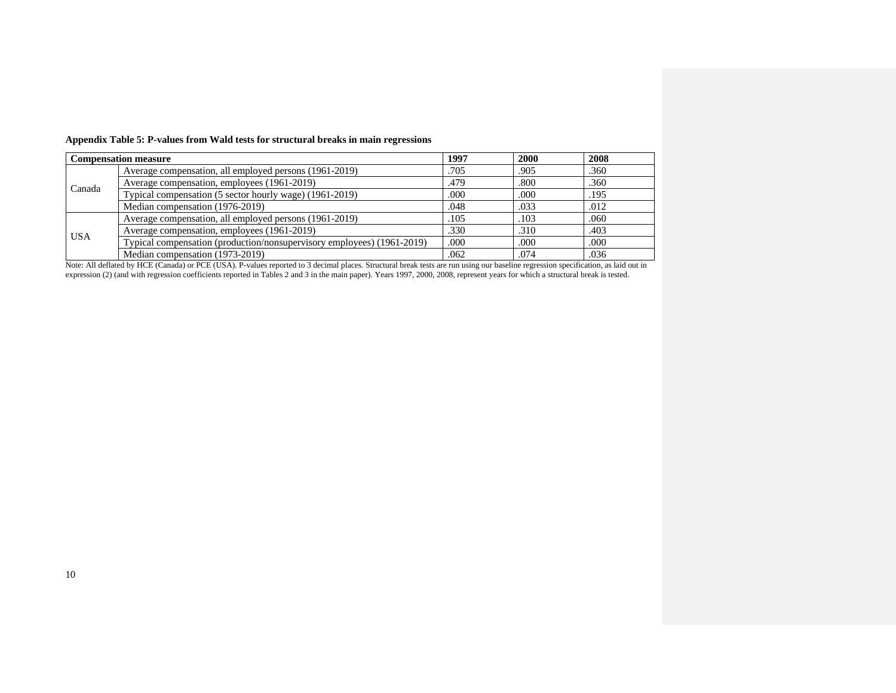|            | <b>Compensation measure</b>                                            | 1997 | 2000 | 2008 |  |
|------------|------------------------------------------------------------------------|------|------|------|--|
|            | Average compensation, all employed persons (1961-2019)                 | .705 | .905 | .360 |  |
| Canada     | Average compensation, employees (1961-2019)                            |      | .800 | .360 |  |
|            | Typical compensation (5 sector hourly wage) (1961-2019)                | .000 | .000 | .195 |  |
|            | Median compensation (1976-2019)                                        | .048 | .033 | .012 |  |
| <b>USA</b> | Average compensation, all employed persons (1961-2019)                 | .105 | .103 | .060 |  |
|            | Average compensation, employees (1961-2019)                            | .330 | .310 | .403 |  |
|            | Typical compensation (production/nonsupervisory employees) (1961-2019) | .000 | .000 | .000 |  |
|            | Median compensation (1973-2019)                                        | .062 | .074 | .036 |  |

**Appendix Table 5: P-values from Wald tests for structural breaks in main regressions**

Note: All deflated by HCE (Canada) or PCE (USA). P-values reported to 3 decimal places. Structural break tests are run using our baseline regression specification, as laid out in expression (2) (and with regression coefficients reported in Tables 2 and 3 in the main paper). Years 1997, 2000, 2008, represent years for which a structural break is tested.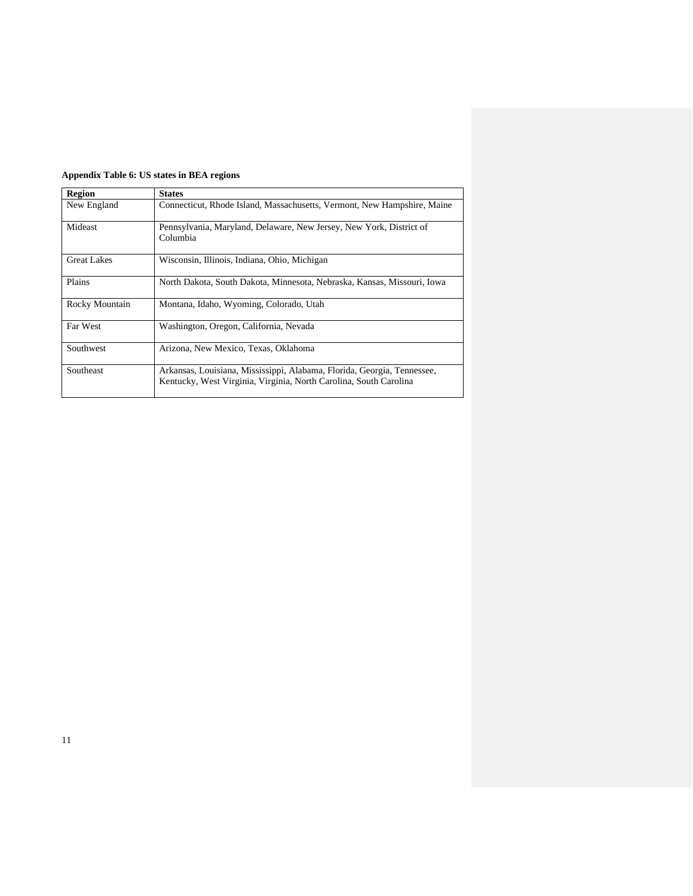| <b>Region</b>      | <b>States</b>                                                                                                                                |
|--------------------|----------------------------------------------------------------------------------------------------------------------------------------------|
| New England        | Connecticut, Rhode Island, Massachusetts, Vermont, New Hampshire, Maine                                                                      |
| Mideast            | Pennsylvania, Maryland, Delaware, New Jersey, New York, District of<br>Columbia                                                              |
| <b>Great Lakes</b> | Wisconsin, Illinois, Indiana, Ohio, Michigan                                                                                                 |
| Plains             | North Dakota, South Dakota, Minnesota, Nebraska, Kansas, Missouri, Iowa                                                                      |
| Rocky Mountain     | Montana, Idaho, Wyoming, Colorado, Utah                                                                                                      |
| Far West           | Washington, Oregon, California, Nevada                                                                                                       |
| Southwest          | Arizona, New Mexico, Texas, Oklahoma                                                                                                         |
| Southeast          | Arkansas, Louisiana, Mississippi, Alabama, Florida, Georgia, Tennessee,<br>Kentucky, West Virginia, Virginia, North Carolina, South Carolina |

## **Appendix Table 6: US states in BEA regions**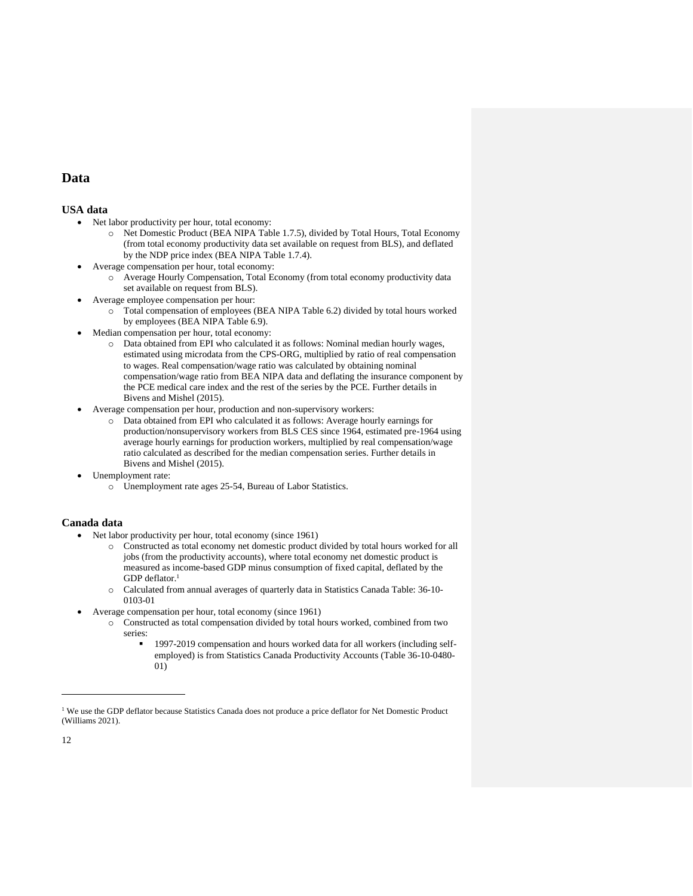## **Data**

### **USA data**

- Net labor productivity per hour, total economy:
	- o Net Domestic Product (BEA NIPA Table 1.7.5), divided by Total Hours, Total Economy (from total economy productivity data set available on request from BLS), and deflated by the NDP price index (BEA NIPA Table 1.7.4).
- Average compensation per hour, total economy:
	- o Average Hourly Compensation, Total Economy (from total economy productivity data set available on request from BLS).
- Average employee compensation per hour:
	- o Total compensation of employees (BEA NIPA Table 6.2) divided by total hours worked by employees (BEA NIPA Table 6.9).
- Median compensation per hour, total economy:
	- o Data obtained from EPI who calculated it as follows: Nominal median hourly wages, estimated using microdata from the CPS-ORG, multiplied by ratio of real compensation to wages. Real compensation/wage ratio was calculated by obtaining nominal compensation/wage ratio from BEA NIPA data and deflating the insurance component by the PCE medical care index and the rest of the series by the PCE. Further details in Bivens and Mishel (2015).
- Average compensation per hour, production and non-supervisory workers:
	- o Data obtained from EPI who calculated it as follows: Average hourly earnings for production/nonsupervisory workers from BLS CES since 1964, estimated pre-1964 using average hourly earnings for production workers, multiplied by real compensation/wage ratio calculated as described for the median compensation series. Further details in Bivens and Mishel (2015).
- Unemployment rate:
	- o Unemployment rate ages 25-54, Bureau of Labor Statistics.

### **Canada data**

- Net labor productivity per hour, total economy (since 1961)
	- o Constructed as total economy net domestic product divided by total hours worked for all jobs (from the productivity accounts), where total economy net domestic product is measured as income-based GDP minus consumption of fixed capital, deflated by the GDP deflator.<sup>1</sup>
	- o Calculated from annual averages of quarterly data in Statistics Canada Table: 36-10- 0103-01
- Average compensation per hour, total economy (since 1961)
	- o Constructed as total compensation divided by total hours worked, combined from two series:
		- 1997-2019 compensation and hours worked data for all workers (including selfemployed) is from Statistics Canada Productivity Accounts (Table 36-10-0480- 01)

<sup>&</sup>lt;sup>1</sup> We use the GDP deflator because Statistics Canada does not produce a price deflator for Net Domestic Product (Williams 2021).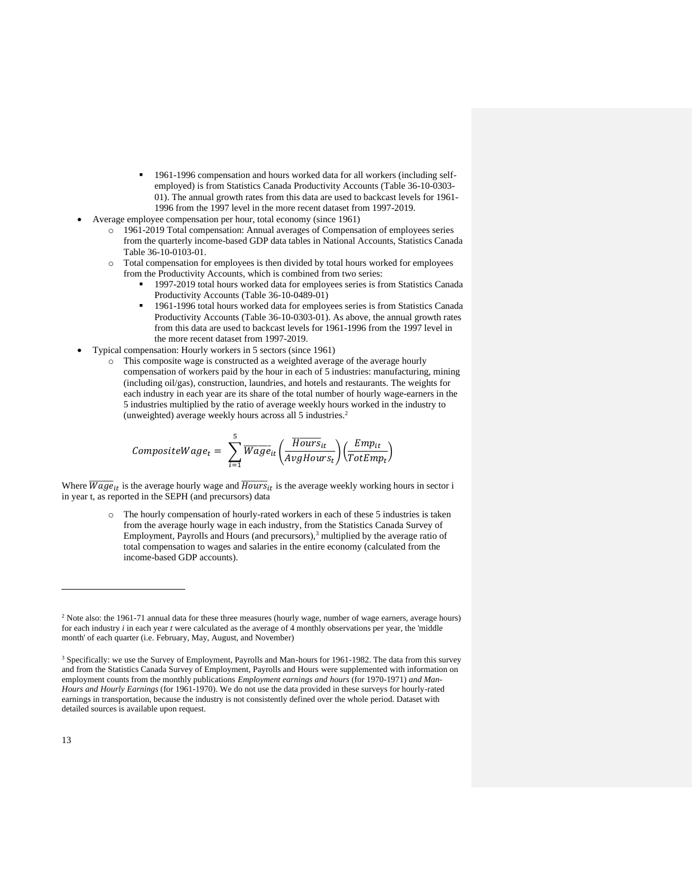- 1961-1996 compensation and hours worked data for all workers (including selfemployed) is from Statistics Canada Productivity Accounts (Table 36-10-0303- 01). The annual growth rates from this data are used to backcast levels for 1961- 1996 from the 1997 level in the more recent dataset from 1997-2019.
- Average employee compensation per hour, total economy (since 1961)
	- o 1961-2019 Total compensation: Annual averages of Compensation of employees series from the quarterly income-based GDP data tables in National Accounts, Statistics Canada Table 36-10-0103-01.
	- o Total compensation for employees is then divided by total hours worked for employees from the Productivity Accounts, which is combined from two series:
		- 1997-2019 total hours worked data for employees series is from Statistics Canada Productivity Accounts (Table 36-10-0489-01)
		- $\blacksquare$  1961-1996 total hours worked data for employees series is from Statistics Canada Productivity Accounts (Table 36-10-0303-01). As above, the annual growth rates from this data are used to backcast levels for 1961-1996 from the 1997 level in the more recent dataset from 1997-2019.
- Typical compensation: Hourly workers in 5 sectors (since 1961)
	- o This composite wage is constructed as a weighted average of the average hourly compensation of workers paid by the hour in each of 5 industries: manufacturing, mining (including oil/gas), construction, laundries, and hotels and restaurants. The weights for each industry in each year are its share of the total number of hourly wage-earners in the 5 industries multiplied by the ratio of average weekly hours worked in the industry to (unweighted) average weekly hours across all 5 industries.<sup>2</sup>

$$
CompositeWage_t = \sum_{i=1}^{5} \overline{Wage}_{it} \left( \frac{\overline{Hours}_{it}}{AvgHours_t} \right) \left( \frac{Emp_{it}}{TotEmp_t} \right)
$$

Where  $\overline{Wage}_{it}$  is the average hourly wage and  $\overline{House}_{it}$  is the average weekly working hours in sector i in year t, as reported in the SEPH (and precursors) data

> o The hourly compensation of hourly-rated workers in each of these 5 industries is taken from the average hourly wage in each industry, from the Statistics Canada Survey of Employment, Payrolls and Hours (and precursors),<sup>3</sup> multiplied by the average ratio of total compensation to wages and salaries in the entire economy (calculated from the income-based GDP accounts).

<sup>&</sup>lt;sup>2</sup> Note also: the 1961-71 annual data for these three measures (hourly wage, number of wage earners, average hours) for each industry *i* in each year *t* were calculated as the average of 4 monthly observations per year, the 'middle month' of each quarter (i.e. February, May, August, and November)

<sup>3</sup> Specifically: we use the Survey of Employment, Payrolls and Man-hours for 1961-1982. The data from this survey and from the Statistics Canada Survey of Employment, Payrolls and Hours were supplemented with information on employment counts from the monthly publications *Employment earnings and hours* (for 1970-1971) *and Man-Hours and Hourly Earnings* (for 1961-1970). We do not use the data provided in these surveys for hourly-rated earnings in transportation, because the industry is not consistently defined over the whole period. Dataset with detailed sources is available upon request.